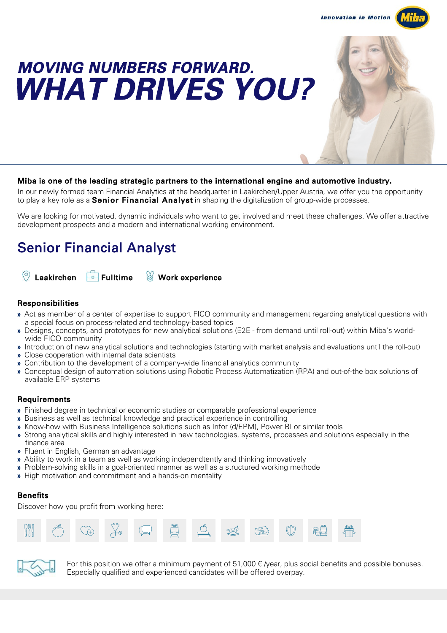**Innovation in Motion** 



# MOVING NUMBERS FORWARD. WHAT DRIVES YOU?



### Miba is one of the leading strategic partners to the international engine and automotive industry.

In our newly formed team Financial Analytics at the headquarter in Laakirchen/Upper Austria, we offer you the opportunity to play a key role as a **Senior Financial Analyst** in shaping the digitalization of group-wide processes.

We are looking for motivated, dynamic individuals who want to get involved and meet these challenges. We offer attractive development prospects and a modern and international working environment.

# Senior Financial Analyst



# Responsibilities

- » Act as member of a center of expertise to support FICO community and management regarding analytical questions with a special focus on process-related and technology-based topics
- » Designs, concepts, and prototypes for new analytical solutions (E2E from demand until roll-out) within Miba's worldwide FICO community
- » Introduction of new analytical solutions and technologies (starting with market analysis and evaluations until the roll-out)
- » Close cooperation with internal data scientists
- » Contribution to the development of a company-wide financial analytics community
- » Conceptual design of automation solutions using Robotic Process Automatization (RPA) and out-of-the box solutions of available ERP systems

### **Requirements**

- » Finished degree in technical or economic studies or comparable professional experience
- » Business as well as technical knowledge and practical experience in controlling
- » Know-how with Business Intelligence solutions such as Infor (d/EPM), Power BI or similar tools
- » Strong analytical skills and highly interested in new technologies, systems, processes and solutions especially in the finance area
- » Fluent in English, German an advantage
- » Ability to work in a team as well as working independtently and thinking innovatively
- » Problem-solving skills in a goal-oriented manner as well as a structured working methode
- » High motivation and commitment and a hands-on mentality

### Benefits

Discover how you profit from working here:





For this position we offer a minimum payment of 51,000  $\epsilon$  /year, plus social benefits and possible bonuses. Especially qualified and experienced candidates will be offered overpay.